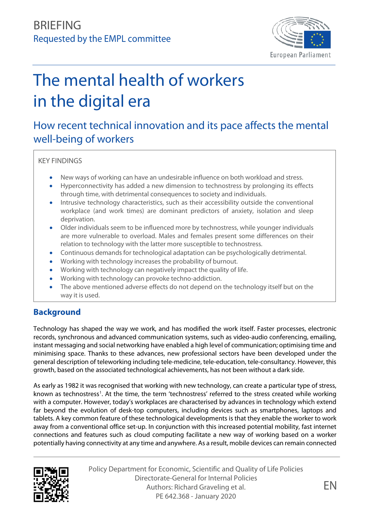

# The mental health of workers in the digital era

## How recent technical innovation and its pace affects the mental well-being of workers

KEY FINDINGS

- New ways of working can have an undesirable influence on both workload and stress.
- Hyperconnectivity has added a new dimension to technostress by prolonging its effects through time, with detrimental consequences to society and individuals.
- Intrusive technology characteristics, such as their accessibility outside the conventional workplace (and work times) are dominant predictors of anxiety, isolation and sleep deprivation.
- Older individuals seem to be influenced more by technostress, while younger individuals are more vulnerable to overload. Males and females present some differences on their relation to technology with the latter more susceptible to technostress.
- Continuous demands for technological adaptation can be psychologically detrimental.
- Working with technology increases the probability of burnout.
- Working with technology can negatively impact the quality of life.
- Working with technology can provoke techno-addiction.
- The above mentioned adverse effects do not depend on the technology itself but on the way it is used.

## **Background**

Technology has shaped the way we work, and has modified the work itself. Faster processes, electronic records, synchronous and advanced communication systems, such as video-audio conferencing, emailing, instant messaging and social networking have enabled a high level of communication; optimising time and minimising space. Thanks to these advances, new professional sectors have been developed under the general description of teleworking including tele-medicine, tele-education, tele-consultancy. However, this growth, based on the associated technological achievements, has not been without a dark side.

As early as 1982 it was recognised that working with new technology, can create a particular type of stress, known as technostress<sup>[1](#page-10-0)</sup>. At the time, the term 'technostress' referred to the stress created while working with a computer. However, today's workplaces are characterised by advances in technology which extend far beyond the evolution of desk-top computers, including devices such as smartphones, laptops and tablets. A key common feature of these technological developments is that they enable the worker to work away from a conventional office set-up. In conjunction with this increased potential mobility, fast internet connections and features such as cloud computing facilitate a new way of working based on a worker potentially having connectivity at any time and anywhere. As a result, mobile devices can remain connected



Policy Department for Economic, Scientific and Quality of Life Policies Directorate-General for Internal Policies Authors: Richard Graveling et al. PE 642.368 - January 2020

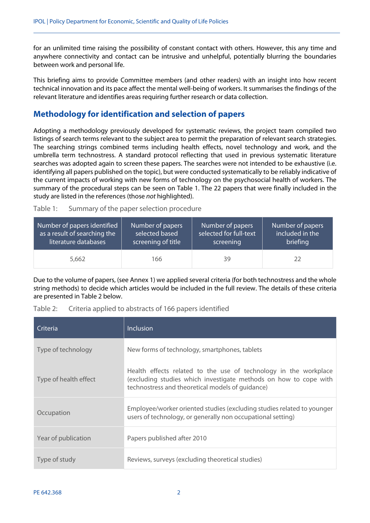for an unlimited time raising the possibility of constant contact with others. However, this any time and anywhere connectivity and contact can be intrusive and unhelpful, potentially blurring the boundaries between work and personal life.

This briefing aims to provide Committee members (and other readers) with an insight into how recent technical innovation and its pace affect the mental well-being of workers. It summarises the findings of the relevant literature and identifies areas requiring further research or data collection.

## **Methodology for identification and selection of papers**

Adopting a methodology previously developed for systematic reviews, the project team compiled two listings of search terms relevant to the subject area to permit the preparation of relevant search strategies. The searching strings combined terms including health effects, novel technology and work, and the umbrella term technostress. A standard protocol reflecting that used in previous systematic literature searches was adopted again to screen these papers. The searches were not intended to be exhaustive (i.e. identifying all papers published on the topic), but were conducted systematically to be reliably indicative of the current impacts of working with new forms of technology on the psychosocial health of workers. The summary of the procedural steps can be seen on Table 1. The 22 papers that were finally included in the study are listed in the references (those *not* highlighted).

| Table 1: | Summary of the paper selection procedure |  |
|----------|------------------------------------------|--|
|          |                                          |  |

| Number of papers identified  | Number of papers   | Number of papers       | Number of papers |
|------------------------------|--------------------|------------------------|------------------|
| as a result of searching the | selected based     | selected for full-text | included in the  |
| literature databases         | screening of title | screening              | briefing         |
| 5,662                        | 166                | 39                     | 22               |

Due to the volume of papers, (see Annex 1) we applied several criteria (for both technostress and the whole string methods) to decide which articles would be included in the full review. The details of these criteria are presented in Table 2 below.

| Table 2: | Criteria applied to abstracts of 166 papers identified |  |  |
|----------|--------------------------------------------------------|--|--|
|          |                                                        |  |  |

| Criteria              | <b>Inclusion</b>                                                                                                                                                                         |
|-----------------------|------------------------------------------------------------------------------------------------------------------------------------------------------------------------------------------|
| Type of technology    | New forms of technology, smartphones, tablets                                                                                                                                            |
| Type of health effect | Health effects related to the use of technology in the workplace<br>(excluding studies which investigate methods on how to cope with<br>technostress and theoretical models of quidance) |
| Occupation            | Employee/worker oriented studies (excluding studies related to younger<br>users of technology, or generally non occupational setting)                                                    |
| Year of publication   | Papers published after 2010                                                                                                                                                              |
| Type of study         | Reviews, surveys (excluding theoretical studies)                                                                                                                                         |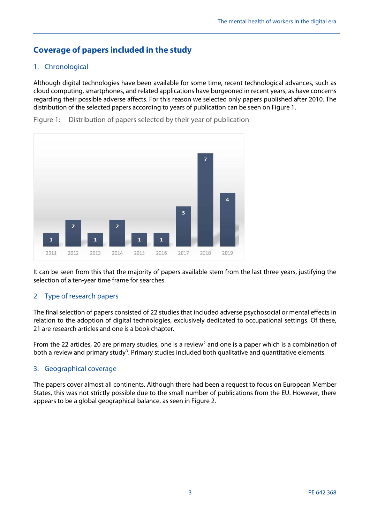## **Coverage of papers included in the study**

#### 1. Chronological

Although digital technologies have been available for some time, recent technological advances, such as cloud computing, smartphones, and related applications have burgeoned in recent years, as have concerns regarding their possible adverse affects. For this reason we selected only papers published after 2010. The distribution of the selected papers according to years of publication can be seen on Figure 1.

Figure 1: Distribution of papers selected by their year of publication



It can be seen from this that the majority of papers available stem from the last three years, justifying the selection of a ten-year time frame for searches.

#### 2. Type of research papers

The final selection of papers consisted of 22 studies that included adverse psychosocial or mental effects in relation to the adoption of digital technologies, exclusively dedicated to occupational settings. Of these, 21 are research articles and one is a book chapter.

From the [2](#page-10-1)2 articles, 20 are primary studies, one is a review<sup>2</sup> and one is a paper which is a combination of both a review and primary study<sup>[3](#page-10-2)</sup>. Primary studies included both qualitative and quantitative elements.

#### 3. Geographical coverage

The papers cover almost all continents. Although there had been a request to focus on European Member States, this was not strictly possible due to the small number of publications from the EU. However, there appears to be a global geographical balance, as seen in Figure 2.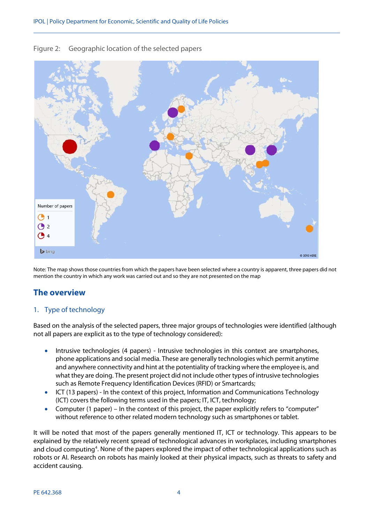

#### Figure 2: Geographic location of the selected papers

Note: The map shows those countries from which the papers have been selected where a country is apparent, three papers did not mention the country in which any work was carried out and so they are not presented on the map

#### **The overview**

#### 1. Type of technology

Based on the analysis of the selected papers, three major groups of technologies were identified (although not all papers are explicit as to the type of technology considered):

- Intrusive technologies (4 papers) Intrusive technologies in this context are smartphones, phone applications and social media. These are generally technologies which permit anytime and anywhere connectivity and hint at the potentiality of tracking where the employee is, and what they are doing. The present project did not include other types of intrusive technologies such as Remote Frequency Identification Devices (RFID) or Smartcards;
- ICT (13 papers) In the context of this project, Information and Communications Technology (ICT) covers the following terms used in the papers; IT, ICT, technology;
- Computer (1 paper) In the context of this project, the paper explicitly refers to "computer" without reference to other related modern technology such as smartphones or tablet.

It will be noted that most of the papers generally mentioned IT, ICT or technology. This appears to be explained by the relatively recent spread of technological advances in workplaces, including smartphones and cloud computing<sup>4</sup>. None of the papers explored the impact of other technological applications such as robots or AI. Research on robots has mainly looked at their physical impacts, such as threats to safety and accident causing.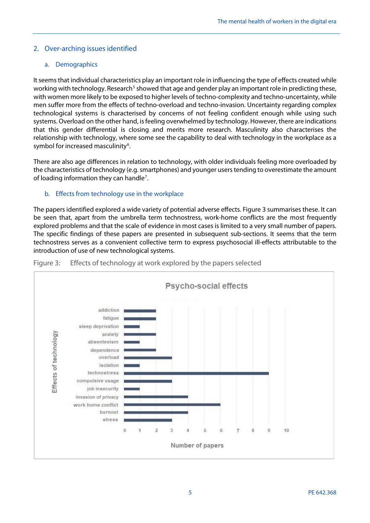#### 2. Over-arching issues identified

#### a. Demographics

It seems that individual characteristics play an important role in influencing the type of effects created while working with technology. Research<sup>[5](#page-10-4)</sup> showed that age and gender play an important role in predicting these, with women more likely to be exposed to higher levels of techno-complexity and techno-uncertainty, while men suffer more from the effects of techno-overload and techno-invasion. Uncertainty regarding complex technological systems is characterised by concerns of not feeling confident enough while using such systems. Overload on the other hand, is feeling overwhelmed by technology. However, there are indications that this gender differential is closing and merits more research. Masculinity also characterises the relationship with technology, where some see the capability to deal with technology in the workplace as a symbol for increased masculinity<sup>6</sup>.

There are also age differences in relation to technology, with older individuals feeling more overloaded by the characteristics of technology (e.g. smartphones) and younger users tending to overestimate the amount of loading information they can handle<sup>[7](#page-10-6)</sup>.

#### b. Effects from technology use in the workplace

The papers identified explored a wide variety of potential adverse effects. Figure 3 summarises these. It can be seen that, apart from the umbrella term technostress, work-home conflicts are the most frequently explored problems and that the scale of evidence in most cases is limited to a very small number of papers. The specific findings of these papers are presented in subsequent sub-sections. It seems that the term technostress serves as a convenient collective term to express psychosocial ill-effects attributable to the introduction of use of new technological systems.



Figure 3: Effects of technology at work explored by the papers selected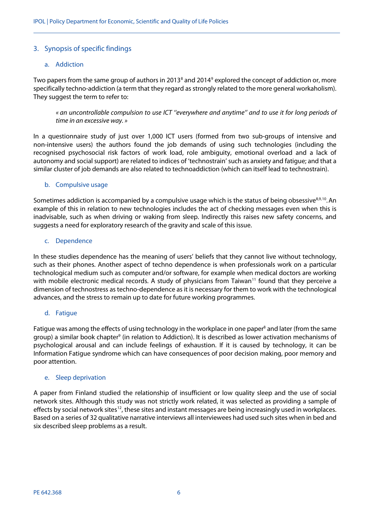#### 3. Synopsis of specific findings

#### a. Addiction

Two papers from the same group of authors in 2013<sup>[8](#page-10-7)</sup> and 2014<sup>[9](#page-10-8)</sup> explored the concept of addiction or, more specifically techno-addiction (a term that they regard as strongly related to the more general workaholism). They suggest the term to refer to:

*« an uncontrollable compulsion to use ICT ''everywhere and anytime'' and to use it for long periods of time in an excessive way. »*

In a questionnaire study of just over 1,000 ICT users (formed from two sub-groups of intensive and non-intensive users) the authors found the job demands of using such technologies (including the recognised psychosocial risk factors of work load, role ambiguity, emotional overload and a lack of autonomy and social support) are related to indices of 'technostrain' such as anxiety and fatigue; and that a similar cluster of job demands are also related to technoaddiction (which can itself lead to technostrain).

#### b. Compulsive usage

Sometimes addiction is accompanied by a compulsive usage which is the status of being obsessive<sup>8,9,[10](#page-10-9)</sup>. An example of this in relation to new technologies includes the act of checking messages even when this is inadvisable, such as when driving or waking from sleep. Indirectly this raises new safety concerns, and suggests a need for exploratory research of the gravity and scale of this issue.

#### c. Dependence

In these studies dependence has the meaning of users' beliefs that they cannot live without technology, such as their phones. Another aspect of techno dependence is when professionals work on a particular technological medium such as computer and/or software, for example when medical doctors are working with mobile electronic medical records. A study of physicians from Taiwan<sup>11</sup> found that they perceive a dimension of technostress as techno-dependence as it is necessary for them to work with the technological advances, and the stress to remain up to date for future working programmes.

#### d. Fatigue

Fatigue was among the effects of using technology in the workplace in one paper<sup>8</sup> and later (from the same group) a similar book chapter<sup>9</sup> (in relation to Addiction). It is described as lower activation mechanisms of psychological arousal and can include feelings of exhaustion. If it is caused by technology, it can be Information Fatigue syndrome which can have consequences of poor decision making, poor memory and poor attention.

#### e. Sleep deprivation

A paper from Finland studied the relationship of insufficient or low quality sleep and the use of social network sites. Although this study was not strictly work related, it was selected as providing a sample of effects by social network sites<sup>12</sup>, these sites and instant messages are being increasingly used in workplaces. Based on a series of 32 qualitative narrative interviews all interviewees had used such sites when in bed and six described sleep problems as a result.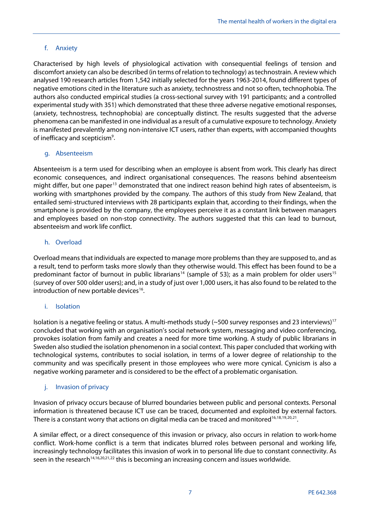#### f. Anxiety

Characterised by high levels of physiological activation with consequential feelings of tension and discomfort anxiety can also be described (in terms of relation to technology) as technostrain. A review which analysed 190 research articles from 1,542 initially selected for the years 1963-2014, found different types of negative emotions cited in the literature such as anxiety, technostress and not so often, technophobia. The authors also conducted empirical studies (a cross-sectional survey with 191 participants; and a controlled experimental study with 351) which demonstrated that these three adverse negative emotional responses, (anxiety, technostress, technophobia) are conceptually distinct. The results suggested that the adverse phenomena can be manifested in one individual as a result of a cumulative exposure to technology. Anxiety is manifested prevalently among non-intensive ICT users, rather than experts, with accompanied thoughts of inefficacy and scepticism<sup>9</sup>.

#### g. Absenteeism

Absenteeism is a term used for describing when an employee is absent from work. This clearly has direct economic consequences, and indirect organisational consequences. The reasons behind absenteeism might differ, but one paper<sup>[13](#page-10-12)</sup> demonstrated that one indirect reason behind high rates of absenteeism, is working with smartphones provided by the company. The authors of this study from New Zealand, that entailed semi-structured interviews with 28 participants explain that, according to their findings, when the smartphone is provided by the company, the employees perceive it as a constant link between managers and employees based on non-stop connectivity. The authors suggested that this can lead to burnout, absenteeism and work life conflict.

#### h. Overload

Overload means that individuals are expected to manage more problems than they are supposed to, and as a result, tend to perform tasks more slowly than they otherwise would. This effect has been found to be a predominant factor of burnout in public librarians<sup>[14](#page-10-13)</sup> (sample of 53); as a main problem for older users<sup>[15](#page-10-14)</sup> (survey of over 500 older users); and, in a study of just over 1,000 users, it has also found to be related to the introduction of new portable devices<sup>16</sup>.

#### <span id="page-6-0"></span>i. Isolation

Isolation is a negative feeling or status. A multi-methods study ( $\sim$ 500 survey responses and 23 interviews)<sup>[17](#page-10-16)</sup> concluded that working with an organisation's social network system, messaging and video conferencing, provokes isolation from family and creates a need for more time working. A study of public librarians in Sweden also studied the isolation phenomenon in a social context. This paper concluded that working with technological systems, contributes to social isolation, in terms of a lower degree of relationship to the community and was specifically present in those employees who were more cynical. Cynicism is also a negative working parameter and is considered to be the effect of a problematic organisation.

#### j. Invasion of privacy

Invasion of privacy occurs because of blurred boundaries between public and personal contexts. Personal information is threatened because ICT use can be traced, documented and exploited by external factors. There is a constant worry that actions on digital media can be traced and monitored<sup>16[,18](#page-10-17),[19,](#page-10-18)[20](#page-10-19),21</sup>.

A similar effect, or a direct consequence of this invasion or privacy, also occurs in relation to work-home conflict. Work-home conflict is a term that indicates blurred roles between personal and working life, increasingly technology facilitates this invasion of work in to personal life due to constant connectivity. As seen in the research<sup>14,16,20,21,[22](#page-10-21)</sup> this is becoming an increasing concern and issues worldwide.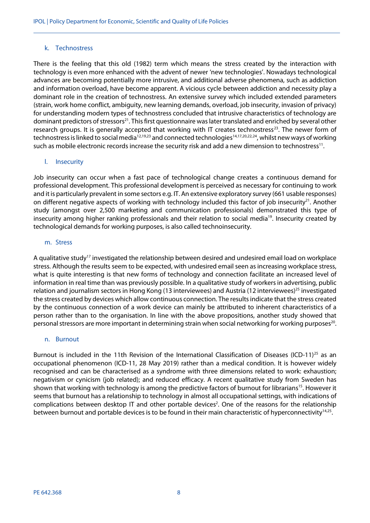#### k. Technostress

There is the feeling that this old (1982) term which means the stress created by the interaction with technology is even more enhanced with the advent of newer 'new technologies'. Nowadays technological advances are becoming potentially more intrusive, and additional adverse phenomena, such as addiction and information overload, have become apparent. A vicious cycle between addiction and necessity play a dominant role in the creation of technostress. An extensive survey which included extended parameters (strain, work home conflict, ambiguity, new learning demands, overload, job insecurity, invasion of privacy) for understanding modern types of technostress concluded that intrusive characteristics of technology are dominant predictors of stressors<sup>21</sup>. This first questionnaire was later translated and enriched by several other research groups. It is generally accepted that working with IT creates technostress<sup>23</sup>. The newer form of technostress is linked to social media<sup>12,19,23</sup> and connected technologies<sup>14,17,20,22,24</sup>, whilst new ways of working such as mobile electronic records increase the security risk and add a new dimension to technostress<sup>11</sup>.

#### l. Insecurity

Job insecurity can occur when a fast pace of technological change creates a continuous demand for professional development. This professional development is perceived as necessary for continuing to work and it is particularly prevalent in some sectors e.g. IT. An extensive exploratory survey (661 usable responses) on different negative aspects of working with technology included this factor of job insecurity<sup>21</sup>. Another study (amongst over 2,500 marketing and communication professionals) demonstrated this type of insecurity among higher ranking professionals and their relation to social media<sup>19</sup>. Insecurity created by technological demands for working purposes, is also called technoinsecurity.

#### m. Stress

A qualitative study<sup>17</sup> investigated the relationship between desired and undesired email load on workplace stress. Although the results seem to be expected, with undesired email seen as increasing workplace stress, what is quite interesting is that new forms of technology and connection facilitate an increased level of information in real time than was previously possible. In a qualitative study of workers in advertising, public relation and journalism sectors in Hong Kong (13 interviewees) and Austria (12 interviewees)<sup>25</sup> investigated the stress created by devices which allow continuous connection. The results indicate that the stress created by the continuous connection of a work device can mainly be attributed to inherent characteristics of a person rather than to the organisation. In line with the above propositions, another study showed that personal stressors are more important in determining strain when social networking for working purposes<sup>20</sup>.

#### n. Burnout

Burnout is included in the 11th Revision of the International Classification of Diseases (ICD-11)<sup>[25](#page-10-24)</sup> as an occupational phenomenon (ICD-11, 28 May 2019) rather than a medical condition. It is however widely recognised and can be characterised as a syndrome with three dimensions related to work: exhaustion; negativism or cynicism (job related); and reduced efficacy. A recent qualitative study from Sweden has shown that working with technology is among the predictive factors of burnout for librarians<sup>15</sup>. However it seems that burnout has a relationship to technology in almost all occupational settings, with indications of complications between desktop IT and other portable devices<sup>2</sup>. One of the reasons for the relationship between burnout and portable devices is to be found in their main characteristic of hyperconnectivity<sup>14,25</sup>.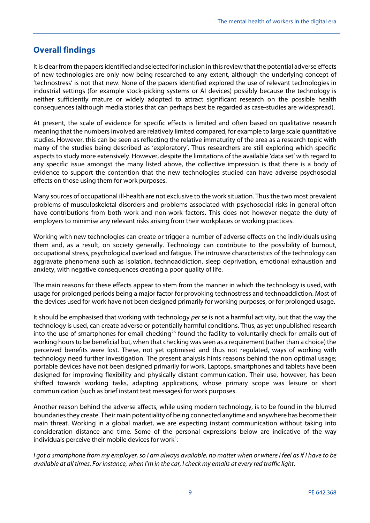## **Overall findings**

It is clear from the papers identified and selected for inclusion in this review that the potential adverse effects of new technologies are only now being researched to any extent, although the underlying concept of 'technostress' is not that new. None of the papers identified explored the use of relevant technologies in industrial settings (for example stock-picking systems or AI devices) possibly because the technology is neither sufficiently mature or widely adopted to attract significant research on the possible health consequences (although media stories that can perhaps best be regarded as case-studies are widespread).

At present, the scale of evidence for specific effects is limited and often based on qualitative research meaning that the numbers involved are relatively limited compared, for example to large scale quantitative studies. However, this can be seen as reflecting the relative immaturity of the area as a research topic with many of the studies being described as 'exploratory'. Thus researchers are still exploring which specific aspects to study more extensively. However, despite the limitations of the available 'data set' with regard to any specific issue amongst the many listed above, the collective impression is that there is a body of evidence to support the contention that the new technologies studied can have adverse psychosocial effects on those using them for work purposes.

Many sources of occupational ill-health are not exclusive to the work situation. Thus the two most prevalent problems of musculoskeletal disorders and problems associated with psychosocial risks in general often have contributions from both work and non-work factors. This does not however negate the duty of employers to minimise any relevant risks arising from their workplaces or working practices.

Working with new technologies can create or trigger a number of adverse effects on the individuals using them and, as a result, on society generally. Technology can contribute to the possibility of burnout, occupational stress, psychological overload and fatigue. The intrusive characteristics of the technology can aggravate phenomena such as isolation, technoaddiction, sleep deprivation, emotional exhaustion and anxiety, with negative consequences creating a poor quality of life.

The main reasons for these effects appear to stem from the manner in which the technology is used, with usage for prolonged periods being a major factor for provoking technostress and technoaddiction. Most of the devices used for work have not been designed primarily for working purposes, or for prolonged usage.

It should be emphasised that working with technology *per se* is not a harmful activity, but that the way the technology is used, can create adverse or potentially harmful conditions. Thus, as yet unpublished research into the use of smartphones for email checking<sup>[26](#page-10-25)</sup> found the facility to voluntarily check for emails out of working hours to be beneficial but, when that checking was seen as a requirement (rather than a choice) the perceived benefits were lost. These, not yet optimised and thus not regulated, ways of working with technology need further investigation. The present analysis hints reasons behind the non optimal usage; portable devices have not been designed primarily for work. Laptops, smartphones and tablets have been designed for improving flexibility and physically distant communication. Their use, however, has been shifted towards working tasks, adapting applications, whose primary scope was leisure or short communication (such as brief instant text messages) for work purposes.

Another reason behind the adverse affects, while using modern technology, is to be found in the blurred boundaries they create. Their main potentiality of being connected anytime and anywhere has become their main threat. Working in a global market, we are expecting instant communication without taking into consideration distance and time. Some of the personal expressions below are indicative of the way individuals perceive their mobile devices for work<sup>5</sup>:

*I got a smartphone from my employer, so I am always available, no matter when or where I feel as if I have to be available at all times. For instance, when I'm in the car, I check my emails at every red traffic light.*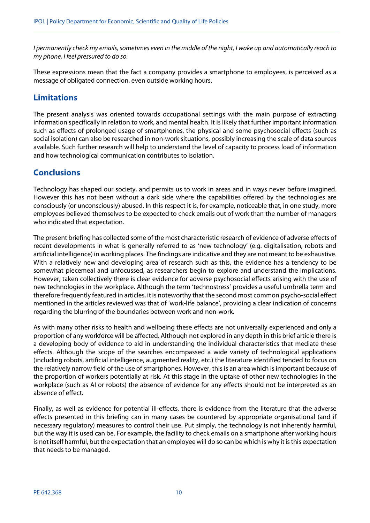*I permanently check my emails, sometimes even in the middle of the night, I wake up and automatically reach to my phone, I feel pressured to do so.*

These expressions mean that the fact a company provides a smartphone to employees, is perceived as a message of obligated connection, even outside working hours.

## **Limitations**

The present analysis was oriented towards occupational settings with the main purpose of extracting information specifically in relation to work, and mental health. It is likely that further important information such as effects of prolonged usage of smartphones, the physical and some psychosocial effects (such as social isolation) can also be researched in non-work situations, possibly increasing the scale of data sources available. Such further research will help to understand the level of capacity to process load of information and how technological communication contributes to isolation.

## **Conclusions**

Technology has shaped our society, and permits us to work in areas and in ways never before imagined. However this has not been without a dark side where the capabilities offered by the technologies are consciously (or unconsciously) abused. In this respect it is, for example, noticeable that, in one study, more employees believed themselves to be expected to check emails out of work than the number of managers who indicated that expectation.

The present briefing has collected some of the most characteristic research of evidence of adverse effects of recent developments in what is generally referred to as 'new technology' (e.g. digitalisation, robots and artificial intelligence) in working places. The findings are indicative and they are not meant to be exhaustive. With a relatively new and developing area of research such as this, the evidence has a tendency to be somewhat piecemeal and unfocussed, as researchers begin to explore and understand the implications. However, taken collectively there is clear evidence for adverse psychosocial effects arising with the use of new technologies in the workplace. Although the term 'technostress' provides a useful umbrella term and therefore frequently featured in articles, it is noteworthy that the second most common psycho-social effect mentioned in the articles reviewed was that of 'work-life balance', providing a clear indication of concerns regarding the blurring of the boundaries between work and non-work.

As with many other risks to health and wellbeing these effects are not universally experienced and only a proportion of any workforce will be affected. Although not explored in any depth in this brief article there is a developing body of evidence to aid in understanding the individual characteristics that mediate these effects. Although the scope of the searches encompassed a wide variety of technological applications (including robots, artificial intelligence, augmented reality, etc.) the literature identified tended to focus on the relatively narrow field of the use of smartphones. However, this is an area which is important because of the proportion of workers potentially at risk. At this stage in the uptake of other new technologies in the workplace (such as AI or robots) the absence of evidence for any effects should not be interpreted as an absence of effect.

Finally, as well as evidence for potential ill-effects, there is evidence from the literature that the adverse effects presented in this briefing can in many cases be countered by appropriate organisational (and if necessary regulatory) measures to control their use. Put simply, the technology is not inherently harmful, but the way it is used can be. For example, the facility to check emails on a smartphone after working hours is not itself harmful, but the expectation that an employee will do so can be which is why it is this expectation that needs to be managed.